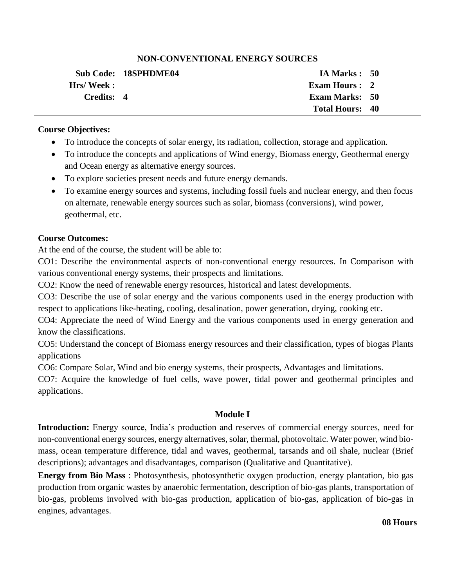# **NON-CONVENTIONAL ENERGY SOURCES**

|            | <b>Sub Code: 18SPHDME04</b> | IA Marks: 50           |  |
|------------|-----------------------------|------------------------|--|
| Hrs/Week:  |                             | Exam Hours : 2         |  |
| Credits: 4 |                             | <b>Exam Marks: 50</b>  |  |
|            |                             | <b>Total Hours: 40</b> |  |

### **Course Objectives:**

- To introduce the concepts of solar energy, its radiation, collection, storage and application.
- To introduce the concepts and applications of Wind energy, Biomass energy, Geothermal energy and Ocean energy as alternative energy sources.
- To explore societies present needs and future energy demands.
- To examine energy sources and systems, including fossil fuels and nuclear energy, and then focus on alternate, renewable energy sources such as solar, biomass (conversions), wind power, geothermal, etc.

# **Course Outcomes:**

At the end of the course, the student will be able to:

CO1: Describe the environmental aspects of non-conventional energy resources. In Comparison with various conventional energy systems, their prospects and limitations.

CO2: Know the need of renewable energy resources, historical and latest developments.

CO3: Describe the use of solar energy and the various components used in the energy production with respect to applications like-heating, cooling, desalination, power generation, drying, cooking etc.

CO4: Appreciate the need of Wind Energy and the various components used in energy generation and know the classifications.

CO5: Understand the concept of Biomass energy resources and their classification, types of biogas Plants applications

CO6: Compare Solar, Wind and bio energy systems, their prospects, Advantages and limitations.

CO7: Acquire the knowledge of fuel cells, wave power, tidal power and geothermal principles and applications.

# **Module I**

**Introduction:** Energy source, India's production and reserves of commercial energy sources, need for non-conventional energy sources, energy alternatives, solar, thermal, photovoltaic. Water power, wind biomass, ocean temperature difference, tidal and waves, geothermal, tarsands and oil shale, nuclear (Brief descriptions); advantages and disadvantages, comparison (Qualitative and Quantitative).

**Energy from Bio Mass** : Photosynthesis, photosynthetic oxygen production, energy plantation, bio gas production from organic wastes by anaerobic fermentation, description of bio-gas plants, transportation of bio-gas, problems involved with bio-gas production, application of bio-gas, application of bio-gas in engines, advantages.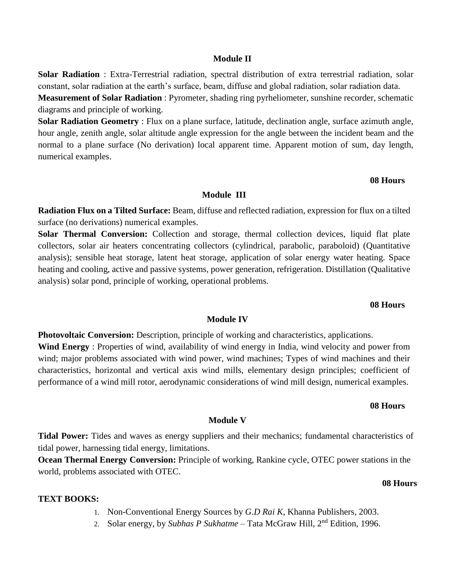#### **Module II**

**Solar Radiation** : Extra-Terrestrial radiation, spectral distribution of extra terrestrial radiation, solar constant, solar radiation at the earth's surface, beam, diffuse and global radiation, solar radiation data.

**Measurement of Solar Radiation** : Pyrometer, shading ring pyrheliometer, sunshine recorder, schematic diagrams and principle of working.

**Solar Radiation Geometry** : Flux on a plane surface, latitude, declination angle, surface azimuth angle, hour angle, zenith angle, solar altitude angle expression for the angle between the incident beam and the normal to a plane surface (No derivation) local apparent time. Apparent motion of sum, day length, numerical examples.

#### **08 Hours**

#### **Module III**

**Radiation Flux on a Tilted Surface:** Beam, diffuse and reflected radiation, expression for flux on a tilted surface (no derivations) numerical examples.

**Solar Thermal Conversion:** Collection and storage, thermal collection devices, liquid flat plate collectors, solar air heaters concentrating collectors (cylindrical, parabolic, paraboloid) (Quantitative analysis); sensible heat storage, latent heat storage, application of solar energy water heating. Space heating and cooling, active and passive systems, power generation, refrigeration. Distillation (Qualitative analysis) solar pond, principle of working, operational problems.

#### **08 Hours**

#### **Module IV**

**Photovoltaic Conversion:** Description, principle of working and characteristics, applications. **Wind Energy** : Properties of wind, availability of wind energy in India, wind velocity and power from wind; major problems associated with wind power, wind machines; Types of wind machines and their characteristics, horizontal and vertical axis wind mills, elementary design principles; coefficient of performance of a wind mill rotor, aerodynamic considerations of wind mill design, numerical examples.

#### **08 Hours**

**08 Hours**

#### **Module V**

**Tidal Power:** Tides and waves as energy suppliers and their mechanics; fundamental characteristics of tidal power, harnessing tidal energy, limitations.

**Ocean Thermal Energy Conversion:** Principle of working, Rankine cycle, OTEC power stations in the world, problems associated with OTEC.

### **TEXT BOOKS:**

- 1. Non-Conventional Energy Sources by *G.D Rai K*, Khanna Publishers, 2003.
- 2. Solar energy, by *Subhas P Sukhatme*  Tata McGraw Hill, 2nd Edition, 1996.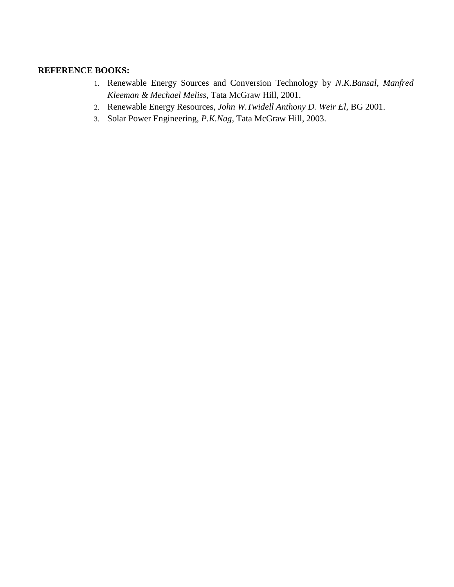# **REFERENCE BOOKS:**

- 1. Renewable Energy Sources and Conversion Technology by *N.K.Bansal, Manfred Kleeman & Mechael Meliss*, Tata McGraw Hill, 2001.
- 2. Renewable Energy Resources, *John W.Twidell Anthony D. Weir El*, BG 2001.
- 3. Solar Power Engineering, *P.K.Nag*, Tata McGraw Hill, 2003.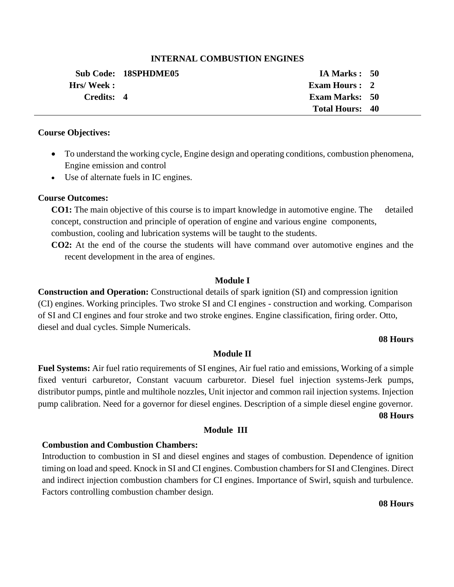### **INTERNAL COMBUSTION ENGINES**

|            | Sub Code: 18SPHDME05 | IA Marks : 50          |  |
|------------|----------------------|------------------------|--|
| Hrs/Week:  |                      | <b>Exam Hours: 2</b>   |  |
| Credits: 4 |                      | <b>Exam Marks: 50</b>  |  |
|            |                      | <b>Total Hours: 40</b> |  |

#### **Course Objectives:**

- To understand the working cycle, Engine design and operating conditions, combustion phenomena, Engine emission and control
- Use of alternate fuels in IC engines.

# **Course Outcomes:**

**CO1:** The main objective of this course is to impart knowledge in automotive engine. The detailed concept, construction and principle of operation of engine and various engine components, combustion, cooling and lubrication systems will be taught to the students.

**CO2:** At the end of the course the students will have command over automotive engines and the recent development in the area of engines.

### **Module I**

**Construction and Operation:** Constructional details of spark ignition (SI) and compression ignition (CI) engines. Working principles. Two stroke SI and CI engines - construction and working. Comparison of SI and CI engines and four stroke and two stroke engines. Engine classification, firing order. Otto, diesel and dual cycles. Simple Numericals.

#### **08 Hours**

# **Module II**

**Fuel Systems:** Air fuel ratio requirements of SI engines, Air fuel ratio and emissions, Working of a simple fixed venturi carburetor, Constant vacuum carburetor. Diesel fuel injection systems-Jerk pumps, distributor pumps, pintle and multihole nozzles, Unit injector and common rail injection systems. Injection pump calibration. Need for a governor for diesel engines. Description of a simple diesel engine governor.

**Module III**

 **08 Hours**

# **Combustion and Combustion Chambers:**

Introduction to combustion in SI and diesel engines and stages of combustion. Dependence of ignition timing on load and speed. Knock in SI and CI engines. Combustion chambers for SI and CIengines. Direct and indirect injection combustion chambers for CI engines. Importance of Swirl, squish and turbulence. Factors controlling combustion chamber design.

**08 Hours**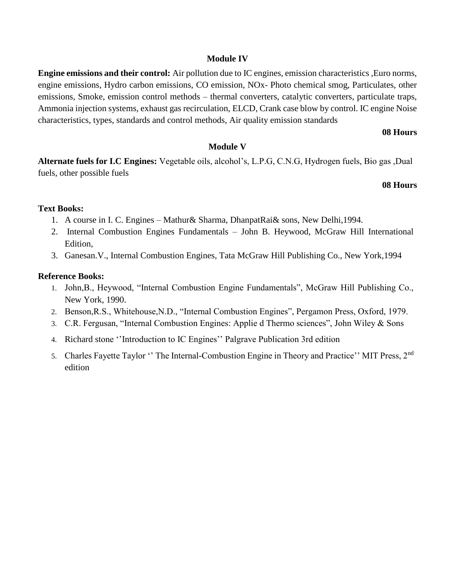### **Module IV**

**Engine emissions and their control:** Air pollution due to IC engines, emission characteristics ,Euro norms, engine emissions, Hydro carbon emissions, CO emission, NOx- Photo chemical smog, Particulates, other emissions, Smoke, emission control methods – thermal converters, catalytic converters, particulate traps, Ammonia injection systems, exhaust gas recirculation, ELCD, Crank case blow by control. IC engine Noise characteristics, types, standards and control methods, Air quality emission standards

#### **08 Hours**

### **Module V**

**Alternate fuels for I.C Engines:** Vegetable oils, alcohol's, L.P.G, C.N.G, Hydrogen fuels, Bio gas ,Dual fuels, other possible fuels

# **08 Hours**

# **Text Books:**

- 1. A course in I. C. Engines Mathur& Sharma, DhanpatRai& sons, New Delhi,1994.
- 2. Internal Combustion Engines Fundamentals John B. Heywood, McGraw Hill International Edition,
- 3. Ganesan.V., Internal Combustion Engines, Tata McGraw Hill Publishing Co., New York,1994

### **Reference Books:**

- 1. John,B., Heywood, "Internal Combustion Engine Fundamentals", McGraw Hill Publishing Co., New York, 1990.
- 2. Benson,R.S., Whitehouse,N.D., "Internal Combustion Engines", Pergamon Press, Oxford, 1979.
- 3. C.R. Fergusan, "Internal Combustion Engines: Applie d Thermo sciences", John Wiley & Sons
- 4. Richard stone ''Introduction to IC Engines'' Palgrave Publication 3rd edition
- 5. Charles Fayette Taylor "The Internal-Combustion Engine in Theory and Practice" MIT Press, 2<sup>nd</sup> edition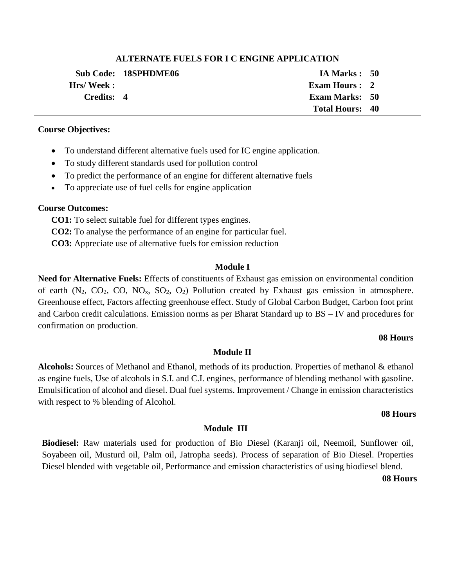#### **ALTERNATE FUELS FOR I C ENGINE APPLICATION**

|            | Sub Code: 18SPHDME06 | IA Marks : 50          |  |
|------------|----------------------|------------------------|--|
| Hrs/Week:  |                      | <b>Exam Hours : 2</b>  |  |
| Credits: 4 |                      | <b>Exam Marks: 50</b>  |  |
|            |                      | <b>Total Hours: 40</b> |  |

#### **Course Objectives:**

- To understand different alternative fuels used for IC engine application.
- To study different standards used for pollution control
- To predict the performance of an engine for different alternative fuels
- To appreciate use of fuel cells for engine application

# **Course Outcomes:**

 **CO1:** To select suitable fuel for different types engines.

 **CO2:** To analyse the performance of an engine for particular fuel.

 **CO3:** Appreciate use of alternative fuels for emission reduction

# **Module I**

**Need for Alternative Fuels:** Effects of constituents of Exhaust gas emission on environmental condition of earth  $(N_2, CO_2, CO, NO_x, SO_2, O_2)$  Pollution created by Exhaust gas emission in atmosphere. Greenhouse effect, Factors affecting greenhouse effect. Study of Global Carbon Budget, Carbon foot print and Carbon credit calculations. Emission norms as per Bharat Standard up to BS – IV and procedures for confirmation on production.

#### **08 Hours**

# **Module II**

**Alcohols:** Sources of Methanol and Ethanol, methods of its production. Properties of methanol & ethanol as engine fuels, Use of alcohols in S.I. and C.I. engines, performance of blending methanol with gasoline. Emulsification of alcohol and diesel. Dual fuel systems. Improvement / Change in emission characteristics with respect to % blending of Alcohol.

#### **08 Hours**

# **Module III**

**Biodiesel:** Raw materials used for production of Bio Diesel (Karanji oil, Neemoil, Sunflower oil, Soyabeen oil, Musturd oil, Palm oil, Jatropha seeds). Process of separation of Bio Diesel. Properties Diesel blended with vegetable oil, Performance and emission characteristics of using biodiesel blend.

#### **08 Hours**